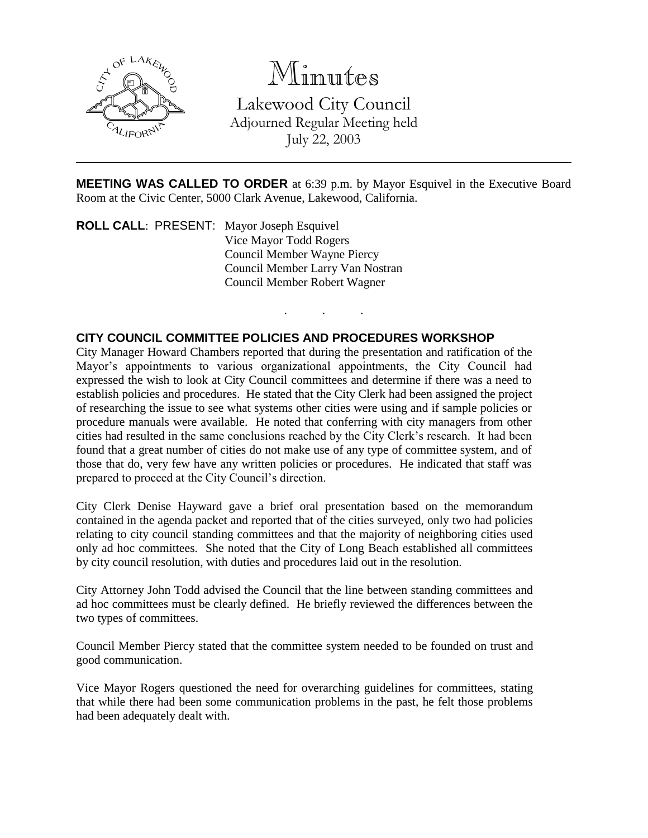

## Minutes

Lakewood City Council Adjourned Regular Meeting held July 22, 2003

**MEETING WAS CALLED TO ORDER** at 6:39 p.m. by Mayor Esquivel in the Executive Board Room at the Civic Center, 5000 Clark Avenue, Lakewood, California.

. . .

**ROLL CALL**: PRESENT: Mayor Joseph Esquivel Vice Mayor Todd Rogers Council Member Wayne Piercy Council Member Larry Van Nostran Council Member Robert Wagner

## **CITY COUNCIL COMMITTEE POLICIES AND PROCEDURES WORKSHOP**

City Manager Howard Chambers reported that during the presentation and ratification of the Mayor's appointments to various organizational appointments, the City Council had expressed the wish to look at City Council committees and determine if there was a need to establish policies and procedures. He stated that the City Clerk had been assigned the project of researching the issue to see what systems other cities were using and if sample policies or procedure manuals were available. He noted that conferring with city managers from other cities had resulted in the same conclusions reached by the City Clerk's research. It had been found that a great number of cities do not make use of any type of committee system, and of those that do, very few have any written policies or procedures. He indicated that staff was prepared to proceed at the City Council's direction.

City Clerk Denise Hayward gave a brief oral presentation based on the memorandum contained in the agenda packet and reported that of the cities surveyed, only two had policies relating to city council standing committees and that the majority of neighboring cities used only ad hoc committees. She noted that the City of Long Beach established all committees by city council resolution, with duties and procedures laid out in the resolution.

City Attorney John Todd advised the Council that the line between standing committees and ad hoc committees must be clearly defined. He briefly reviewed the differences between the two types of committees.

Council Member Piercy stated that the committee system needed to be founded on trust and good communication.

Vice Mayor Rogers questioned the need for overarching guidelines for committees, stating that while there had been some communication problems in the past, he felt those problems had been adequately dealt with.